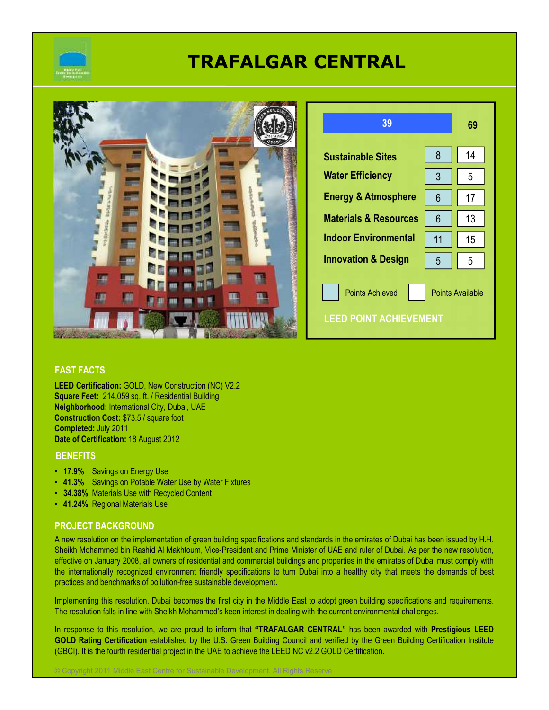

# **TRAFALGAR CENTRAL**

|    | 39                                                 | 69                      |
|----|----------------------------------------------------|-------------------------|
|    | 8<br><b>Sustainable Sites</b>                      | 14                      |
|    | <b>Water Efficiency</b><br>3                       | 5                       |
|    | <b>Energy &amp; Atmosphere</b><br>$6\phantom{1}6$  | 17                      |
|    | <b>Materials &amp; Resources</b><br>$6\phantom{1}$ | 13                      |
| 周囲 | <b>Indoor Environmental</b><br>11                  | 15 <sup>15</sup>        |
| 周围 | <b>Innovation &amp; Design</b><br>5                | 5                       |
|    | <b>Points Achieved</b>                             | <b>Points Available</b> |
|    | <b>LEED POINT ACHIEVEMENT</b>                      |                         |

## **FAST FACTS**

**LEED Certification:** GOLD, New Construction (NC) V2.2 **Square Feet:** 214,059 sq. ft. / Residential Building **Neighborhood:** International City, Dubai, UAE **Construction Cost:** \$73.5 / square foot **Completed:** July 2011 **Date of Certification:** 18 August 2012

#### **BENEFITS**

- **17.9%** Savings on Energy Use
- **41.3%** Savings on Potable Water Use by Water Fixtures

© Copyright 2011 Middle East Centre for Sustainable Development. All Rights Reserve

- **34.38%** Materials Use with Recycled Content
- **41.24%** Regional Materials Use

## **PROJECT BACKGROUND**

A new resolution on the implementation of green building specifications and standards in the emirates of Dubai has been issued by H.H. Sheikh Mohammed bin Rashid Al Makhtoum, Vice-President and Prime Minister of UAE and ruler of Dubai. As per the new resolution, effective on January 2008, all owners of residential and commercial buildings and properties in the emirates of Dubai must comply with the internationally recognized environment friendly specifications to turn Dubai into a healthy city that meets the demands of best practices and benchmarks of pollution-free sustainable development.

Implementing this resolution, Dubai becomes the first city in the Middle East to adopt green building specifications and requirements. The resolution falls in line with Sheikh Mohammed's keen interest in dealing with the current environmental challenges.

In response to this resolution, we are proud to inform that **"TRAFALGAR CENTRAL"** has been awarded with **Prestigious LEED GOLD Rating Certification** established by the U.S. Green Building Council and verified by the Green Building Certification Institute (GBCI). It is the fourth residential project in the UAE to achieve the LEED NC v2.2 GOLD Certification.